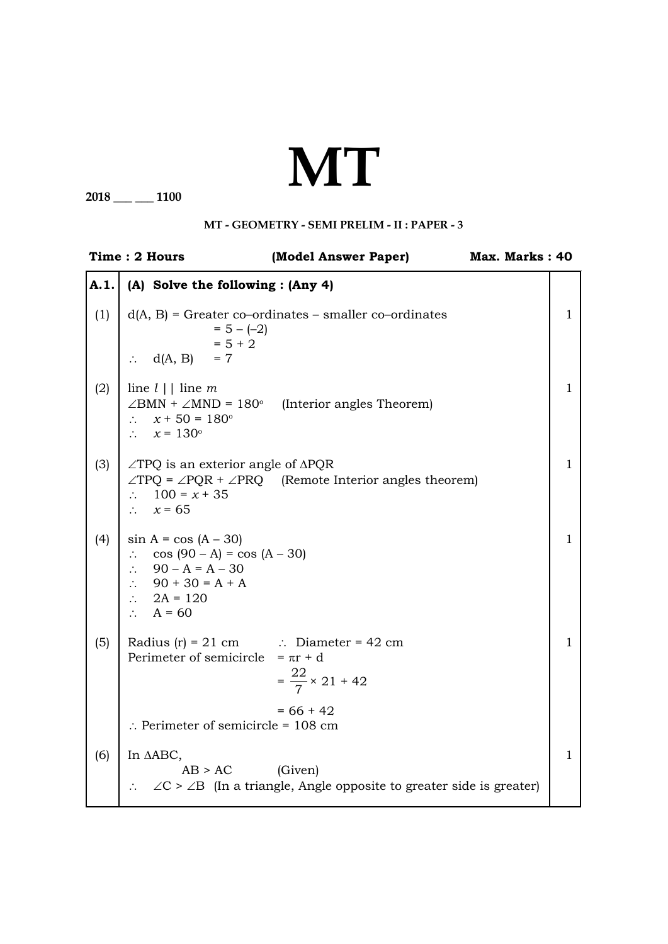## **MT**

**2018 \_\_\_ \_\_\_ 1100**

## **MT - Geometry - SEMI PRELIM - II : PAPER - 3**

|              | Time: 2 Hours                                                                                                                                                                        | (Model Answer Paper)                                                                                     | Max. Marks: 40 |              |
|--------------|--------------------------------------------------------------------------------------------------------------------------------------------------------------------------------------|----------------------------------------------------------------------------------------------------------|----------------|--------------|
| $\vert$ A.1. | (A) Solve the following : (Any 4)                                                                                                                                                    |                                                                                                          |                |              |
| (1)          | $= 5 - (-2)$<br>$= 5 + 2$<br>$\therefore$ d(A, B) = 7                                                                                                                                | $d(A, B)$ = Greater co-ordinates – smaller co-ordinates                                                  |                | 1            |
| (2)          | line $l \mid$ line m<br>$x + 50 = 180^{\circ}$<br>$\mathbb{R}^{\mathbb{Z}}$<br>$\therefore$ $x = 130^\circ$                                                                          | $\angle$ BMN + $\angle$ MND = 180° (Interior angles Theorem)                                             |                | $\mathbf{1}$ |
| (3)          | $\angle$ TPQ is an exterior angle of $\triangle$ PQR<br>$\therefore$ 100 = x + 35<br>$\therefore$ $x = 65$                                                                           | $\angle TPQ = \angle PQR + \angle PRQ$ (Remote Interior angles theorem)                                  |                | $\mathbf 1$  |
| (4)          | $\sin A = \cos (A - 30)$<br>$\therefore$ cos (90 – A) = cos (A – 30)<br>$\therefore$ 90 – A = A – 30<br>$\therefore$ 90 + 30 = A + A<br>$\therefore$ 2A = 120<br>$\therefore$ A = 60 |                                                                                                          |                | 1            |
| (5)          | Radius (r) = 21 cm $\therefore$ Diameter = 42 cm<br>Perimeter of semicircle = $\pi r + d$                                                                                            | $=\frac{22}{7} \times 21 + 42$                                                                           |                | 1            |
|              | $\therefore$ Perimeter of semicircle = 108 cm                                                                                                                                        | $= 66 + 42$                                                                                              |                |              |
| (6)          | In AABC,<br>AB > AC                                                                                                                                                                  | (Given)<br>$\therefore$ $\angle C > \angle B$ (In a triangle, Angle opposite to greater side is greater) |                | $\mathbf{1}$ |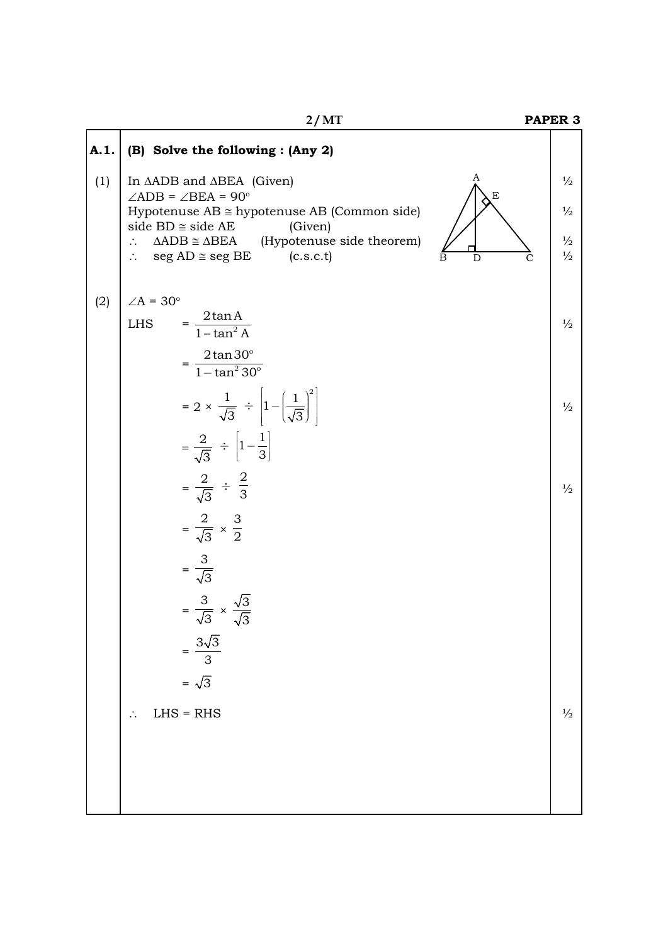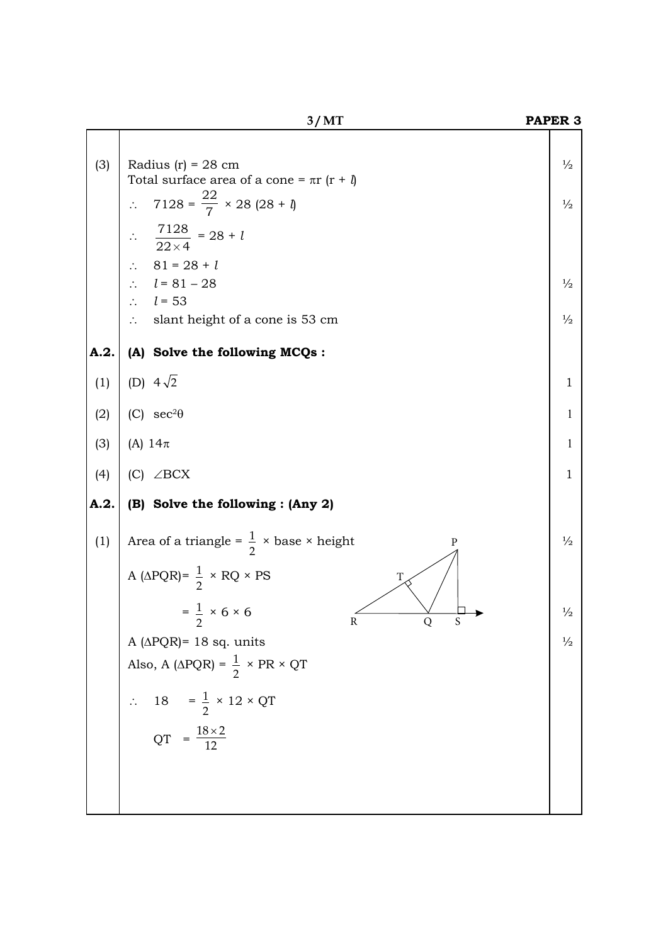|      | 3/MT                                                                                                                                                                                                                                                                                                                                         | PAPER <sub>3</sub>                                               |
|------|----------------------------------------------------------------------------------------------------------------------------------------------------------------------------------------------------------------------------------------------------------------------------------------------------------------------------------------------|------------------------------------------------------------------|
| (3)  | Radius $(r) = 28$ cm<br>Total surface area of a cone = $\pi r$ ( $r + \theta$ )<br>$7128 = \frac{22}{7} \times 28 (28 + 1)$<br>$\ddot{\cdot}$<br>$\frac{7128}{22\times4}$ = 28 + 1<br>$81 = 28 + l$<br>$\therefore$<br>$\therefore$ $l = 81 - 28$<br>$\therefore$ $l = 53$<br>slant height of a cone is 53 cm<br>$\mathcal{L}_{\mathcal{C}}$ | $\frac{1}{2}$<br>$\frac{1}{2}$<br>$\frac{1}{2}$<br>$\frac{1}{2}$ |
| A.2. | (A) Solve the following MCQs :                                                                                                                                                                                                                                                                                                               |                                                                  |
| (1)  | (D) $4\sqrt{2}$                                                                                                                                                                                                                                                                                                                              | $\mathbf{1}$                                                     |
| (2)  | (C) $sec^2\theta$                                                                                                                                                                                                                                                                                                                            | $\mathbf{1}$                                                     |
| (3)  | (A) $14\pi$                                                                                                                                                                                                                                                                                                                                  | $\mathbf{1}$                                                     |
| (4)  | (C) $\angle$ BCX                                                                                                                                                                                                                                                                                                                             | $\mathbf{1}$                                                     |
| A.2. | (B) Solve the following : (Any 2)                                                                                                                                                                                                                                                                                                            |                                                                  |
| (1)  | Area of a triangle = $\frac{1}{2}$ × base × height<br>P<br>A ( $\triangle PQR$ ) = $\frac{1}{2} \times RQ \times PS$<br>T                                                                                                                                                                                                                    | $\frac{1}{2}$                                                    |
|      | $=$ $\frac{1}{2} \times 6 \times 6$<br>$\overline{2}$<br>R<br>Q<br>S                                                                                                                                                                                                                                                                         | $\frac{1}{2}$                                                    |
|      | A ( $\triangle PQR$ )= 18 sq. units                                                                                                                                                                                                                                                                                                          | $\frac{1}{2}$                                                    |
|      | Also, A ( $\triangle PQR$ ) = $\frac{1}{2} \times PR \times QT$                                                                                                                                                                                                                                                                              |                                                                  |
|      | 18 = $\frac{1}{2} \times 12 \times QT$                                                                                                                                                                                                                                                                                                       |                                                                  |
|      | $QT = \frac{18 \times 2}{12}$                                                                                                                                                                                                                                                                                                                |                                                                  |
|      |                                                                                                                                                                                                                                                                                                                                              |                                                                  |
|      |                                                                                                                                                                                                                                                                                                                                              |                                                                  |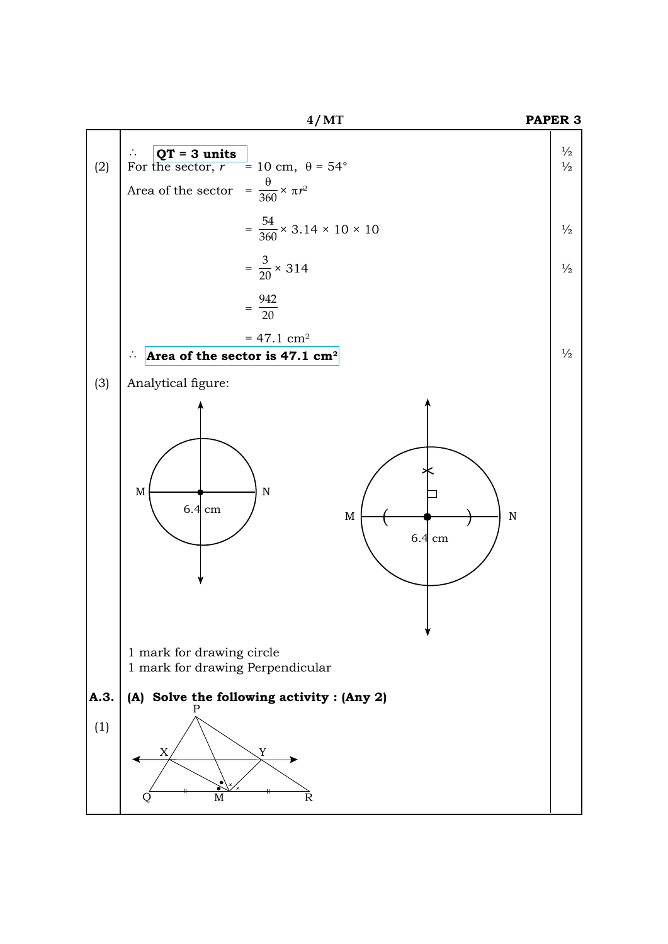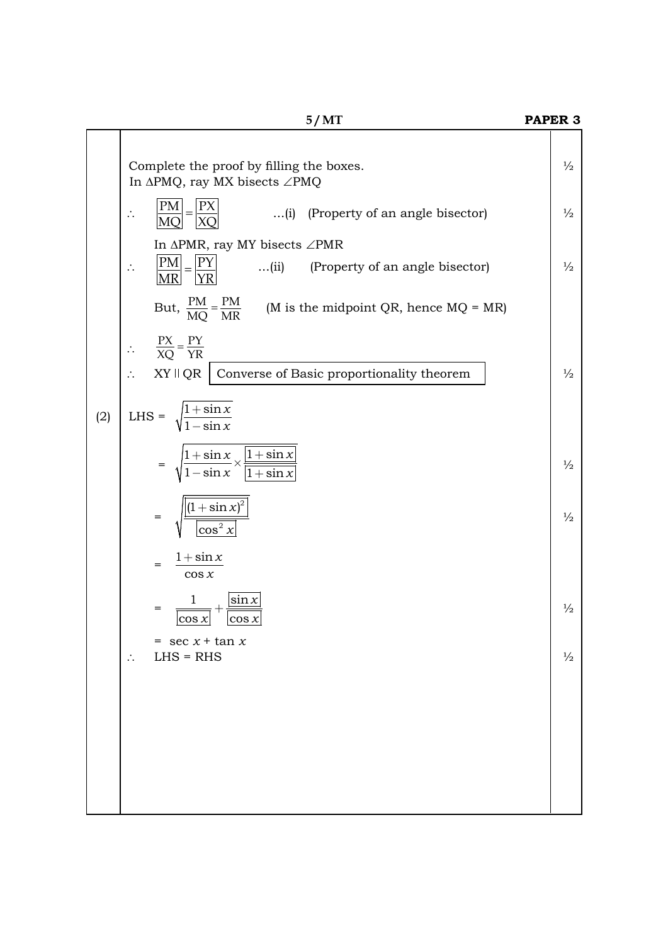|     | 5/MT                                                                                                                                                  | PAPER <sub>3</sub> |
|-----|-------------------------------------------------------------------------------------------------------------------------------------------------------|--------------------|
|     | Complete the proof by filling the boxes.<br>In $\Delta PMQ$ , ray MX bisects $\angle PMQ$                                                             | $\frac{1}{2}$      |
|     | $\frac{ PM }{ MQ } = \frac{ PX }{ XQ }$<br>(i) (Property of an angle bisector)<br>$\ddot{\cdot}$                                                      | $\frac{1}{2}$      |
|     | In $\triangle PMR$ , ray MY bisects $\angle PMR$<br>$\left \frac{PM}{MR}\right  = \left \frac{PY}{YR}\right $<br>(ii) (Property of an angle bisector) | $\frac{1}{2}$      |
|     | But, $\frac{PM}{MO} = \frac{PM}{MR}$ (M is the midpoint QR, hence MQ = MR)                                                                            |                    |
|     | $\therefore \qquad \frac{PX}{XQ} = \frac{PY}{YR}$                                                                                                     |                    |
|     | $XY \parallel QR$ Converse of Basic proportionality theorem                                                                                           | $\frac{1}{2}$      |
| (2) | LHS = $\sqrt{\frac{1+\sin x}{1-\sin x}}$                                                                                                              |                    |
|     | $= \sqrt{\frac{1+\sin x}{1-\sin x}} \times \frac{ 1+\sin x }{ 1+\sin x }$                                                                             | $\frac{1}{2}$      |
|     | $\frac{\left\lvert (1+\sin x)^2 \right\rvert}{\left\lvert \cos^2 x \right\rvert}$<br>$=$                                                              | $\frac{1}{2}$      |
|     | $1 + \sin x$<br>$=$<br>$\cos x$                                                                                                                       |                    |
|     | $\mathbf{1}$<br>$\frac{\sin x}{\sqrt{1}}$<br>$=$<br>$ \cos x $<br>$ \cos x $                                                                          | $\frac{1}{2}$      |
|     | $=$ sec $x + \tan x$<br>$LHS = RHS$<br>∴                                                                                                              | $\frac{1}{2}$      |
|     |                                                                                                                                                       |                    |
|     |                                                                                                                                                       |                    |
|     |                                                                                                                                                       |                    |
|     |                                                                                                                                                       |                    |
|     |                                                                                                                                                       |                    |
|     |                                                                                                                                                       |                    |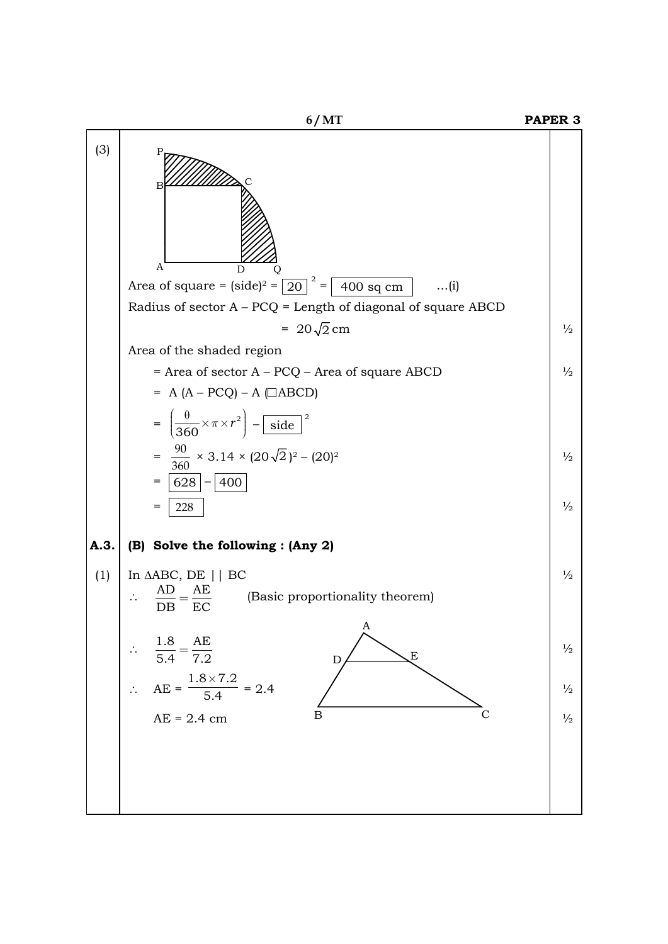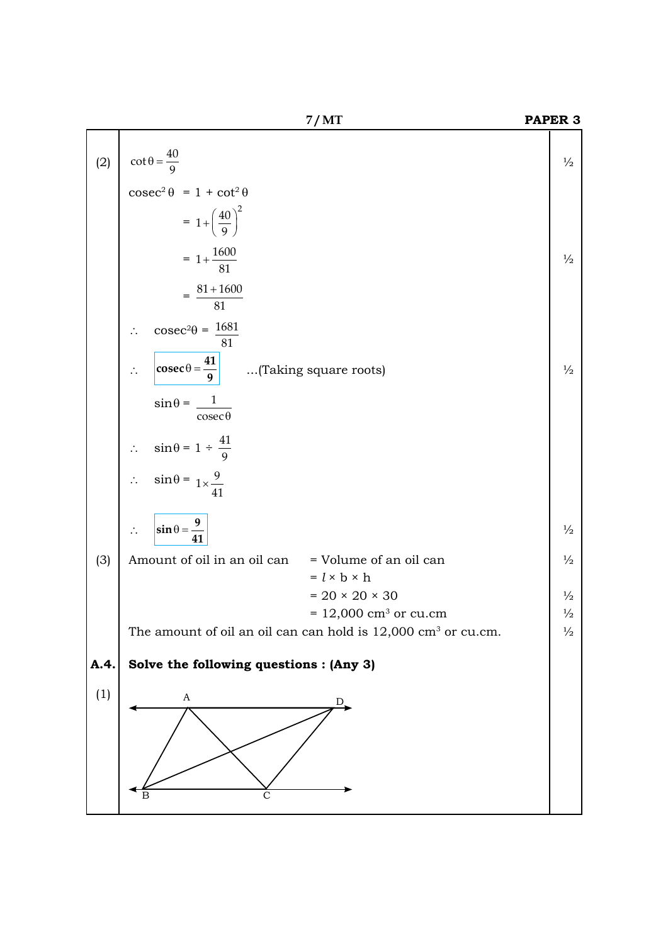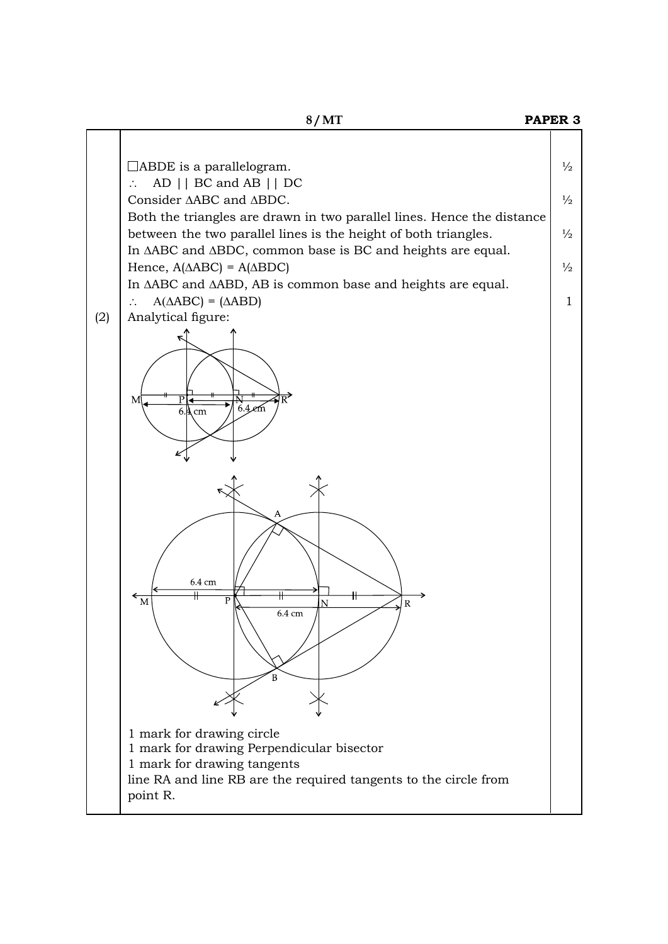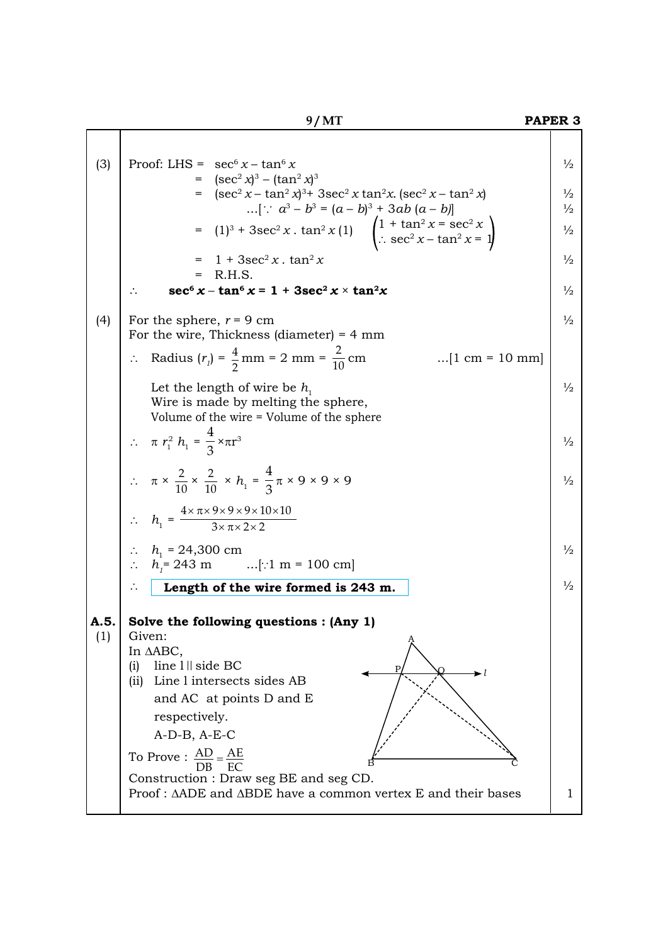|--|--|--|--|

## **9 / MT Paper 3** $\mathsf{I}$

| (3)         | Proof: LHS = $\sec^6 x - \tan^6 x$<br>= $(\sec^2 x)^3 - (\tan^2 x)^3$<br>= $(\sec^2 x - \tan^2 x)^3$ + 3sec <sup>2</sup> x tan <sup>2</sup> x. (sec <sup>2</sup> x - tan <sup>2</sup> x)<br>[ $\therefore$ $a^3 - b^3 = (a - b)^3 + 3ab(a - b)$ ]<br>= $(1)^3 + 3\sec^2 x \cdot \tan^2 x (1)$ $\left(1 + \tan^2 x = \sec^2 x \right)$<br>$\therefore \sec^2 x - \tan^2 x = 1$<br>$= 1 + 3\sec^2 x \cdot \tan^2 x$<br>$=$ R.H.S.<br>$\sec^6 x - \tan^6 x = 1 + 3\sec^2 x \times \tan^2 x$ | $\frac{1}{2}$<br>$\frac{1}{2}$<br>$\frac{1}{2}$<br>$\frac{1}{2}$<br>$\frac{1}{2}$<br>$\frac{1}{2}$ |
|-------------|------------------------------------------------------------------------------------------------------------------------------------------------------------------------------------------------------------------------------------------------------------------------------------------------------------------------------------------------------------------------------------------------------------------------------------------------------------------------------------------|----------------------------------------------------------------------------------------------------|
| (4)         | For the sphere, $r = 9$ cm<br>For the wire, Thickness (diameter) = $4 \text{ mm}$<br>Radius $(r_1) = \frac{4}{2}$ mm = 2 mm = $\frac{2}{10}$ cm<br>$[1 \text{ cm} = 10 \text{ mm}]$<br>Let the length of wire be $h_1$<br>Wire is made by melting the sphere,                                                                                                                                                                                                                            | $\frac{1}{2}$<br>$\frac{1}{2}$                                                                     |
|             | Volume of the wire = Volume of the sphere<br>$\therefore$ $\pi r_1^2 h_1 = \frac{4}{3} \times \pi r^3$<br>$\therefore \pi \times \frac{2}{10} \times \frac{2}{10} \times h_1 = \frac{4}{3} \pi \times 9 \times 9 \times 9$                                                                                                                                                                                                                                                               | $\frac{1}{2}$<br>$\frac{1}{2}$                                                                     |
|             | $\therefore h_1 = \frac{4 \times \pi \times 9 \times 9 \times 9 \times 10 \times 10}{3 \times \pi \times 2 \times 2}$<br>:. $h_1 = 24,300 \text{ cm}$<br>:. $h_i = 243 \text{ m}$ [:1 m = 100 cm]<br>Length of the wire formed is 243 m.                                                                                                                                                                                                                                                 | $\frac{1}{2}$<br>$\frac{1}{2}$                                                                     |
| A.5.<br>(1) | Solve the following questions : (Any 1)<br>Given:<br>In AABC,<br>line 1    side BC<br>(i)<br>►≀<br>(ii) Line 1 intersects sides AB<br>and AC at points D and E<br>respectively.<br>$A-D-B$ , $A-E-C$<br>To Prove : $\frac{AD}{DB} = \frac{AE}{EC}$<br>Construction : Draw seg BE and seg CD.<br>Proof: ΔADE and ΔBDE have a common vertex E and their bases                                                                                                                              | 1.                                                                                                 |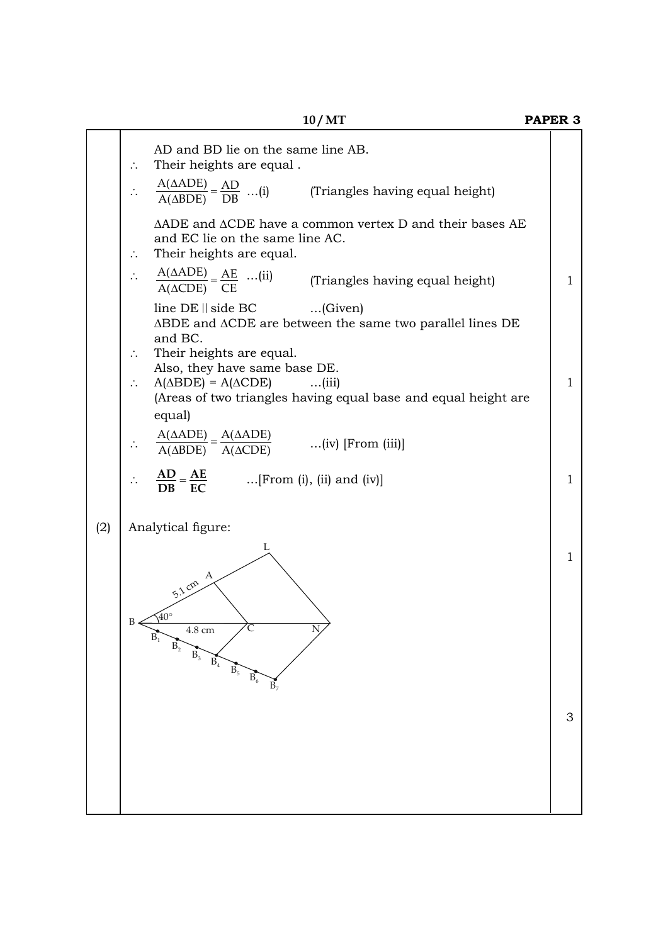┱

|     | AD and BD lie on the same line AB.<br>Their heights are equal.                                                                   |              |  |
|-----|----------------------------------------------------------------------------------------------------------------------------------|--------------|--|
|     | $\frac{A(AADE)}{A(ABDE)} = \frac{AD}{DB}$ (i)<br>(Triangles having equal height)                                                 |              |  |
|     | ΔADE and ΔCDE have a common vertex D and their bases AE<br>and EC lie on the same line AC.<br>Their heights are equal.           |              |  |
|     | $\frac{A(\triangle ADE)}{A(\triangle CDE)} = \frac{AE}{CE}$ (ii) (Triangles having equal height)                                 | 1            |  |
|     | $line DE \parallel side BC$ (Given)<br>$\triangle$ BDE and $\triangle$ CDE are between the same two parallel lines DE<br>and BC. |              |  |
|     | Their heights are equal.<br>Also, they have same base DE.                                                                        |              |  |
|     | $A(\triangle BDE) = A(\triangle CDE)$<br>$\dots$ (iii)<br>(Areas of two triangles having equal base and equal height are         | $\mathbf{1}$ |  |
|     | equal)                                                                                                                           |              |  |
|     | $\frac{A(\triangle ADE)}{A(\triangle BDE)} = \frac{A(\triangle ADE)}{A(\triangle CDE)}$ (iv) [From (iii)]                        |              |  |
|     | $\frac{AD}{DB} = \frac{AE}{EC}$ [From (i), (ii) and (iv)]                                                                        | $\mathbf{1}$ |  |
| (2) | Analytical figure:                                                                                                               |              |  |
|     | L<br>А<br>5.1 cm<br>Ċ<br>4.8 cm<br>$\mathbf{B}_2$<br>$\overrightarrow{B_3 \qquad B_4 \qquad B_5}$<br>$\mathbf{B}_6$<br>$B_7$     | 1            |  |
|     |                                                                                                                                  | 3            |  |
|     |                                                                                                                                  |              |  |
|     |                                                                                                                                  |              |  |
|     |                                                                                                                                  |              |  |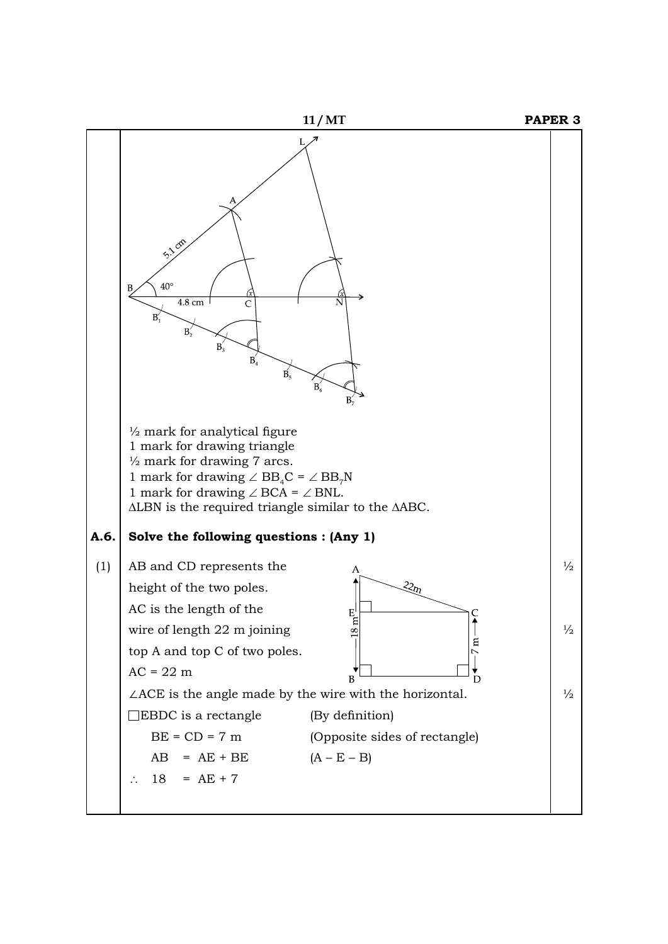